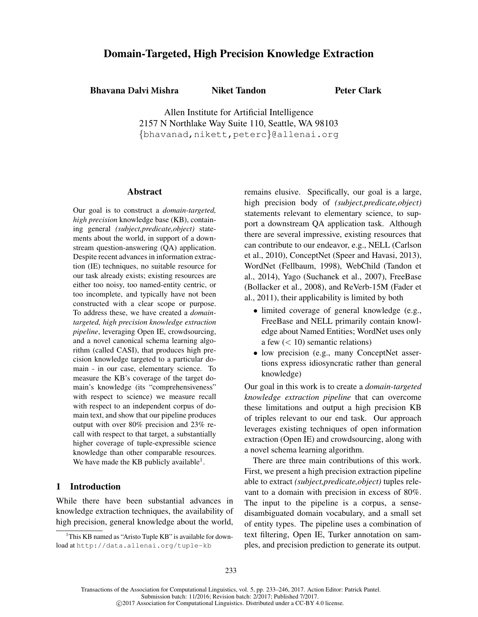# Domain-Targeted, High Precision Knowledge Extraction

**Bhavana Dalvi Mishra** Niket Tandon

Peter Clark

Allen Institute for Artificial Intelligence 2157 N Northlake Way Suite 110, Seattle, WA 98103 {bhavanad,nikett,peterc}@allenai.org

## Abstract

Our goal is to construct a *domain-targeted, high precision* knowledge base (KB), containing general *(subject,predicate,object)* statements about the world, in support of a downstream question-answering (QA) application. Despite recent advances in information extraction (IE) techniques, no suitable resource for our task already exists; existing resources are either too noisy, too named-entity centric, or too incomplete, and typically have not been constructed with a clear scope or purpose. To address these, we have created a *domaintargeted, high precision knowledge extraction pipeline*, leveraging Open IE, crowdsourcing, and a novel canonical schema learning algorithm (called CASI), that produces high precision knowledge targeted to a particular domain - in our case, elementary science. To measure the KB's coverage of the target domain's knowledge (its "comprehensiveness" with respect to science) we measure recall with respect to an independent corpus of domain text, and show that our pipeline produces output with over 80% precision and 23% recall with respect to that target, a substantially higher coverage of tuple-expressible science knowledge than other comparable resources. We have made the KB publicly available<sup>1</sup>.

# 1 Introduction

While there have been substantial advances in knowledge extraction techniques, the availability of high precision, general knowledge about the world, remains elusive. Specifically, our goal is a large, high precision body of *(subject,predicate,object)* statements relevant to elementary science, to support a downstream QA application task. Although there are several impressive, existing resources that can contribute to our endeavor, e.g., NELL (Carlson et al., 2010), ConceptNet (Speer and Havasi, 2013), WordNet (Fellbaum, 1998), WebChild (Tandon et al., 2014), Yago (Suchanek et al., 2007), FreeBase (Bollacker et al., 2008), and ReVerb-15M (Fader et al., 2011), their applicability is limited by both

- limited coverage of general knowledge (e.g., FreeBase and NELL primarily contain knowledge about Named Entities; WordNet uses only a few  $(< 10$ ) semantic relations)
- low precision (e.g., many ConceptNet assertions express idiosyncratic rather than general knowledge)

Our goal in this work is to create a *domain-targeted knowledge extraction pipeline* that can overcome these limitations and output a high precision KB of triples relevant to our end task. Our approach leverages existing techniques of open information extraction (Open IE) and crowdsourcing, along with a novel schema learning algorithm.

There are three main contributions of this work. First, we present a high precision extraction pipeline able to extract *(subject,predicate,object)* tuples relevant to a domain with precision in excess of 80%. The input to the pipeline is a corpus, a sensedisambiguated domain vocabulary, and a small set of entity types. The pipeline uses a combination of text filtering, Open IE, Turker annotation on samples, and precision prediction to generate its output.

<sup>&</sup>lt;sup>1</sup>This KB named as "Aristo Tuple KB" is available for download at http://data.allenai.org/tuple-kb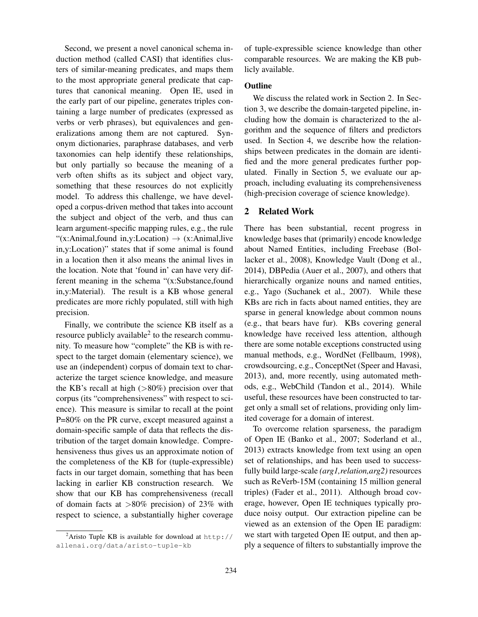Second, we present a novel canonical schema induction method (called CASI) that identifies clusters of similar-meaning predicates, and maps them to the most appropriate general predicate that captures that canonical meaning. Open IE, used in the early part of our pipeline, generates triples containing a large number of predicates (expressed as verbs or verb phrases), but equivalences and generalizations among them are not captured. Synonym dictionaries, paraphrase databases, and verb taxonomies can help identify these relationships, but only partially so because the meaning of a verb often shifts as its subject and object vary, something that these resources do not explicitly model. To address this challenge, we have developed a corpus-driven method that takes into account the subject and object of the verb, and thus can learn argument-specific mapping rules, e.g., the rule "(x:Animal,found in,y:Location)  $\rightarrow$  (x:Animal,live in,y:Location)" states that if some animal is found in a location then it also means the animal lives in the location. Note that 'found in' can have very different meaning in the schema "(x:Substance,found in,y:Material). The result is a KB whose general predicates are more richly populated, still with high precision.

Finally, we contribute the science KB itself as a resource publicly available $2$  to the research community. To measure how "complete" the KB is with respect to the target domain (elementary science), we use an (independent) corpus of domain text to characterize the target science knowledge, and measure the KB's recall at high  $(>80%)$  precision over that corpus (its "comprehensiveness" with respect to science). This measure is similar to recall at the point P=80% on the PR curve, except measured against a domain-specific sample of data that reflects the distribution of the target domain knowledge. Comprehensiveness thus gives us an approximate notion of the completeness of the KB for (tuple-expressible) facts in our target domain, something that has been lacking in earlier KB construction research. We show that our KB has comprehensiveness (recall of domain facts at  $>80\%$  precision) of 23% with respect to science, a substantially higher coverage

<sup>2</sup>Aristo Tuple KB is available for download at  $http://$ allenai.org/data/aristo-tuple-kb

of tuple-expressible science knowledge than other comparable resources. We are making the KB publicly available.

## **Outline**

We discuss the related work in Section 2. In Section 3, we describe the domain-targeted pipeline, including how the domain is characterized to the algorithm and the sequence of filters and predictors used. In Section 4, we describe how the relationships between predicates in the domain are identified and the more general predicates further populated. Finally in Section 5, we evaluate our approach, including evaluating its comprehensiveness (high-precision coverage of science knowledge).

## 2 Related Work

There has been substantial, recent progress in knowledge bases that (primarily) encode knowledge about Named Entities, including Freebase (Bollacker et al., 2008), Knowledge Vault (Dong et al., 2014), DBPedia (Auer et al., 2007), and others that hierarchically organize nouns and named entities, e.g., Yago (Suchanek et al., 2007). While these KBs are rich in facts about named entities, they are sparse in general knowledge about common nouns (e.g., that bears have fur). KBs covering general knowledge have received less attention, although there are some notable exceptions constructed using manual methods, e.g., WordNet (Fellbaum, 1998), crowdsourcing, e.g., ConceptNet (Speer and Havasi, 2013), and, more recently, using automated methods, e.g., WebChild (Tandon et al., 2014). While useful, these resources have been constructed to target only a small set of relations, providing only limited coverage for a domain of interest.

To overcome relation sparseness, the paradigm of Open IE (Banko et al., 2007; Soderland et al., 2013) extracts knowledge from text using an open set of relationships, and has been used to successfully build large-scale *(arg1,relation,arg2)* resources such as ReVerb-15M (containing 15 million general triples) (Fader et al., 2011). Although broad coverage, however, Open IE techniques typically produce noisy output. Our extraction pipeline can be viewed as an extension of the Open IE paradigm: we start with targeted Open IE output, and then apply a sequence of filters to substantially improve the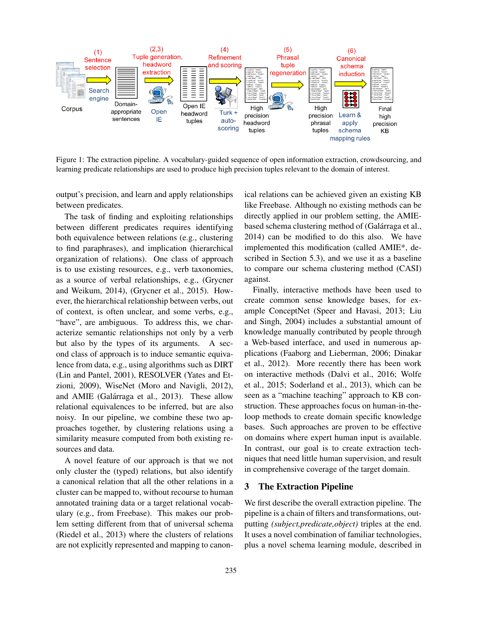

Figure 1: The extraction pipeline. A vocabulary-guided sequence of open information extraction, crowdsourcing, and learning predicate relationships are used to produce high precision tuples relevant to the domain of interest.

output's precision, and learn and apply relationships between predicates.

The task of finding and exploiting relationships between different predicates requires identifying both equivalence between relations (e.g., clustering to find paraphrases), and implication (hierarchical organization of relations). One class of approach is to use existing resources, e.g., verb taxonomies, as a source of verbal relationships, e.g., (Grycner and Weikum, 2014), (Grycner et al., 2015). However, the hierarchical relationship between verbs, out of context, is often unclear, and some verbs, e.g., "have", are ambiguous. To address this, we characterize semantic relationships not only by a verb but also by the types of its arguments. A second class of approach is to induce semantic equivalence from data, e.g., using algorithms such as DIRT (Lin and Pantel, 2001), RESOLVER (Yates and Etzioni, 2009), WiseNet (Moro and Navigli, 2012), and AMIE (Galárraga et al., 2013). These allow relational equivalences to be inferred, but are also noisy. In our pipeline, we combine these two approaches together, by clustering relations using a similarity measure computed from both existing resources and data.

A novel feature of our approach is that we not only cluster the (typed) relations, but also identify a canonical relation that all the other relations in a cluster can be mapped to, without recourse to human annotated training data or a target relational vocabulary (e.g., from Freebase). This makes our problem setting different from that of universal schema (Riedel et al., 2013) where the clusters of relations are not explicitly represented and mapping to canonical relations can be achieved given an existing KB like Freebase. Although no existing methods can be directly applied in our problem setting, the AMIEbased schema clustering method of (Galárraga et al., 2014) can be modified to do this also. We have implemented this modification (called AMIE\*, described in Section 5.3), and we use it as a baseline to compare our schema clustering method (CASI) against.

Finally, interactive methods have been used to create common sense knowledge bases, for example ConceptNet (Speer and Havasi, 2013; Liu and Singh, 2004) includes a substantial amount of knowledge manually contributed by people through a Web-based interface, and used in numerous applications (Faaborg and Lieberman, 2006; Dinakar et al., 2012). More recently there has been work on interactive methods (Dalvi et al., 2016; Wolfe et al., 2015; Soderland et al., 2013), which can be seen as a "machine teaching" approach to KB construction. These approaches focus on human-in-theloop methods to create domain specific knowledge bases. Such approaches are proven to be effective on domains where expert human input is available. In contrast, our goal is to create extraction techniques that need little human supervision, and result in comprehensive coverage of the target domain.

## 3 The Extraction Pipeline

We first describe the overall extraction pipeline. The pipeline is a chain of filters and transformations, outputting *(subject,predicate,object)* triples at the end. It uses a novel combination of familiar technologies, plus a novel schema learning module, described in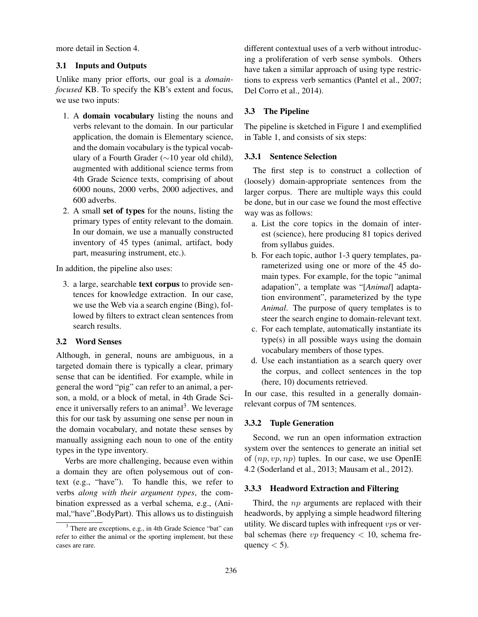more detail in Section 4.

## 3.1 Inputs and Outputs

Unlike many prior efforts, our goal is a *domainfocused* KB. To specify the KB's extent and focus, we use two inputs:

- 1. A domain vocabulary listing the nouns and verbs relevant to the domain. In our particular application, the domain is Elementary science, and the domain vocabulary is the typical vocabulary of a Fourth Grader (∼10 year old child), augmented with additional science terms from 4th Grade Science texts, comprising of about 6000 nouns, 2000 verbs, 2000 adjectives, and 600 adverbs.
- 2. A small set of types for the nouns, listing the primary types of entity relevant to the domain. In our domain, we use a manually constructed inventory of 45 types (animal, artifact, body part, measuring instrument, etc.).

In addition, the pipeline also uses:

3. a large, searchable text corpus to provide sentences for knowledge extraction. In our case, we use the Web via a search engine (Bing), followed by filters to extract clean sentences from search results.

### 3.2 Word Senses

Although, in general, nouns are ambiguous, in a targeted domain there is typically a clear, primary sense that can be identified. For example, while in general the word "pig" can refer to an animal, a person, a mold, or a block of metal, in 4th Grade Science it universally refers to an animal<sup>3</sup>. We leverage this for our task by assuming one sense per noun in the domain vocabulary, and notate these senses by manually assigning each noun to one of the entity types in the type inventory.

Verbs are more challenging, because even within a domain they are often polysemous out of context (e.g., "have"). To handle this, we refer to verbs *along with their argument types*, the combination expressed as a verbal schema, e.g., (Animal,"have",BodyPart). This allows us to distinguish

different contextual uses of a verb without introducing a proliferation of verb sense symbols. Others have taken a similar approach of using type restrictions to express verb semantics (Pantel et al., 2007; Del Corro et al., 2014).

## 3.3 The Pipeline

The pipeline is sketched in Figure 1 and exemplified in Table 1, and consists of six steps:

### 3.3.1 Sentence Selection

The first step is to construct a collection of (loosely) domain-appropriate sentences from the larger corpus. There are multiple ways this could be done, but in our case we found the most effective way was as follows:

- a. List the core topics in the domain of interest (science), here producing 81 topics derived from syllabus guides.
- b. For each topic, author 1-3 query templates, parameterized using one or more of the 45 domain types. For example, for the topic "animal adapation", a template was "[*Animal*] adaptation environment", parameterized by the type *Animal*. The purpose of query templates is to steer the search engine to domain-relevant text.
- c. For each template, automatically instantiate its type(s) in all possible ways using the domain vocabulary members of those types.
- d. Use each instantiation as a search query over the corpus, and collect sentences in the top (here, 10) documents retrieved.

In our case, this resulted in a generally domainrelevant corpus of 7M sentences.

### 3.3.2 Tuple Generation

Second, we run an open information extraction system over the sentences to generate an initial set of  $(np, vp, np)$  tuples. In our case, we use OpenIE 4.2 (Soderland et al., 2013; Mausam et al., 2012).

### 3.3.3 Headword Extraction and Filtering

Third, the *np* arguments are replaced with their headwords, by applying a simple headword filtering utility. We discard tuples with infrequent  $vps$  or verbal schemas (here  $vp$  frequency  $< 10$ , schema frequency  $<$  5).

<sup>&</sup>lt;sup>3</sup> There are exceptions, e.g., in 4th Grade Science "bat" can refer to either the animal or the sporting implement, but these cases are rare.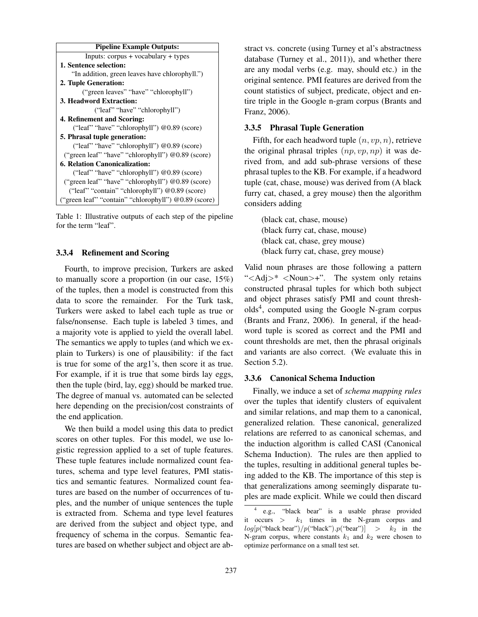

Table 1: Illustrative outputs of each step of the pipeline for the term "leaf".

## 3.3.4 Refinement and Scoring

Fourth, to improve precision, Turkers are asked to manually score a proportion (in our case, 15%) of the tuples, then a model is constructed from this data to score the remainder. For the Turk task, Turkers were asked to label each tuple as true or false/nonsense. Each tuple is labeled 3 times, and a majority vote is applied to yield the overall label. The semantics we apply to tuples (and which we explain to Turkers) is one of plausibility: if the fact is true for some of the arg1's, then score it as true. For example, if it is true that some birds lay eggs, then the tuple (bird, lay, egg) should be marked true. The degree of manual vs. automated can be selected here depending on the precision/cost constraints of the end application.

We then build a model using this data to predict scores on other tuples. For this model, we use logistic regression applied to a set of tuple features. These tuple features include normalized count features, schema and type level features, PMI statistics and semantic features. Normalized count features are based on the number of occurrences of tuples, and the number of unique sentences the tuple is extracted from. Schema and type level features are derived from the subject and object type, and frequency of schema in the corpus. Semantic features are based on whether subject and object are abstract vs. concrete (using Turney et al's abstractness database (Turney et al., 2011)), and whether there are any modal verbs (e.g. may, should etc.) in the original sentence. PMI features are derived from the count statistics of subject, predicate, object and entire triple in the Google n-gram corpus (Brants and Franz, 2006).

## 3.3.5 Phrasal Tuple Generation

Fifth, for each headword tuple  $(n, vp, n)$ , retrieve the original phrasal triples  $(np, vp, np)$  it was derived from, and add sub-phrase versions of these phrasal tuples to the KB. For example, if a headword tuple (cat, chase, mouse) was derived from (A black furry cat, chased, a grey mouse) then the algorithm considers adding

(black cat, chase, mouse) (black furry cat, chase, mouse) (black cat, chase, grey mouse) (black furry cat, chase, grey mouse)

Valid noun phrases are those following a pattern " $\langle \text{Adj}\rangle^*$   $\langle \text{Noun}\rangle^*$ . The system only retains constructed phrasal tuples for which both subject and object phrases satisfy PMI and count thresholds<sup>4</sup> , computed using the Google N-gram corpus (Brants and Franz, 2006). In general, if the headword tuple is scored as correct and the PMI and count thresholds are met, then the phrasal originals and variants are also correct. (We evaluate this in Section 5.2).

### 3.3.6 Canonical Schema Induction

Finally, we induce a set of *schema mapping rules* over the tuples that identify clusters of equivalent and similar relations, and map them to a canonical, generalized relation. These canonical, generalized relations are referred to as canonical schemas, and the induction algorithm is called CASI (Canonical Schema Induction). The rules are then applied to the tuples, resulting in additional general tuples being added to the KB. The importance of this step is that generalizations among seemingly disparate tuples are made explicit. While we could then discard

<sup>4</sup> e.g., "black bear" is a usable phrase provided it occurs  $>$   $k_1$  times in the N-gram corpus and  $log[p("black bear")/p("black").p("beam")] > k_2$  in the N-gram corpus, where constants  $k_1$  and  $k_2$  were chosen to optimize performance on a small test set.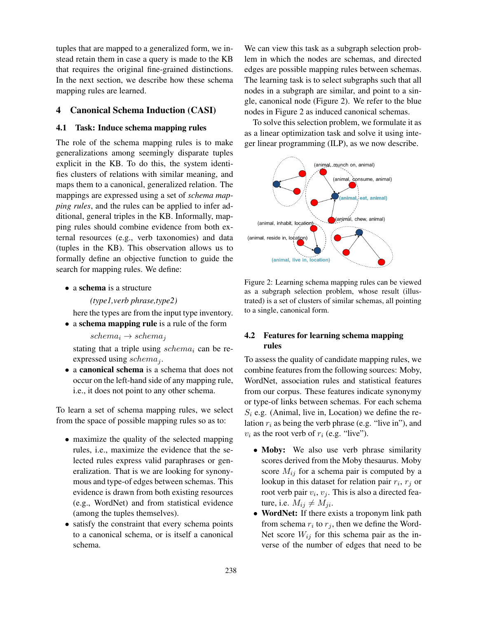tuples that are mapped to a generalized form, we instead retain them in case a query is made to the KB that requires the original fine-grained distinctions. In the next section, we describe how these schema mapping rules are learned.

# 4 Canonical Schema Induction (CASI)

## 4.1 Task: Induce schema mapping rules

The role of the schema mapping rules is to make generalizations among seemingly disparate tuples explicit in the KB. To do this, the system identifies clusters of relations with similar meaning, and maps them to a canonical, generalized relation. The mappings are expressed using a set of *schema mapping rules*, and the rules can be applied to infer additional, general triples in the KB. Informally, mapping rules should combine evidence from both external resources (e.g., verb taxonomies) and data (tuples in the KB). This observation allows us to formally define an objective function to guide the search for mapping rules. We define:

• a schema is a structure

*(type1,verb phrase,type2)*

here the types are from the input type inventory.

• a schema mapping rule is a rule of the form

 $schema_i \rightarrow schema_i$ 

stating that a triple using  $schema_i$  can be reexpressed using  $schema_j$ .

• a canonical schema is a schema that does not occur on the left-hand side of any mapping rule, i.e., it does not point to any other schema.

To learn a set of schema mapping rules, we select from the space of possible mapping rules so as to:

- maximize the quality of the selected mapping rules, i.e., maximize the evidence that the selected rules express valid paraphrases or generalization. That is we are looking for synonymous and type-of edges between schemas. This evidence is drawn from both existing resources (e.g., WordNet) and from statistical evidence (among the tuples themselves).
- satisfy the constraint that every schema points to a canonical schema, or is itself a canonical schema.

We can view this task as a subgraph selection problem in which the nodes are schemas, and directed edges are possible mapping rules between schemas. The learning task is to select subgraphs such that all nodes in a subgraph are similar, and point to a single, canonical node (Figure 2). We refer to the blue nodes in Figure 2 as induced canonical schemas.

To solve this selection problem, we formulate it as as a linear optimization task and solve it using integer linear programming (ILP), as we now describe.



Figure 2: Learning schema mapping rules can be viewed as a subgraph selection problem, whose result (illustrated) is a set of clusters of similar schemas, all pointing to a single, canonical form.

# 4.2 Features for learning schema mapping rules

To assess the quality of candidate mapping rules, we combine features from the following sources: Moby, WordNet, association rules and statistical features from our corpus. These features indicate synonymy or type-of links between schemas. For each schema  $S_i$  e.g. (Animal, live in, Location) we define the relation  $r_i$  as being the verb phrase (e.g. "live in"), and  $v_i$  as the root verb of  $r_i$  (e.g. "live").

- Moby: We also use verb phrase similarity scores derived from the Moby thesaurus. Moby score  $M_{ij}$  for a schema pair is computed by a lookup in this dataset for relation pair  $r_i$ ,  $r_j$  or root verb pair  $v_i$ ,  $v_j$ . This is also a directed feature, i.e.  $M_{ij} \neq M_{ji}$ .
- WordNet: If there exists a troponym link path from schema  $r_i$  to  $r_j$ , then we define the Word-Net score  $W_{ij}$  for this schema pair as the inverse of the number of edges that need to be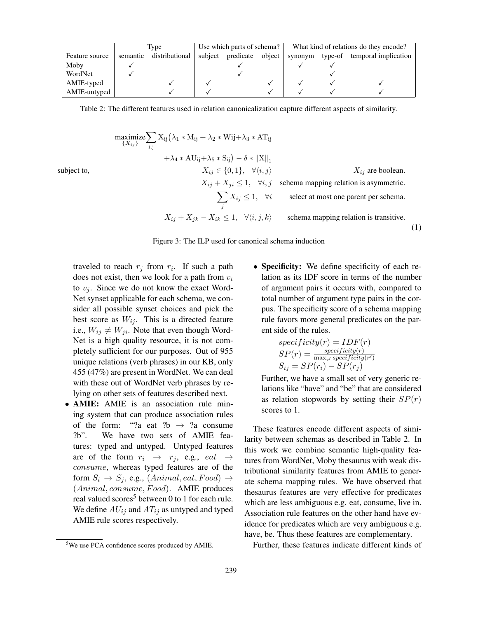|                |          | Type           | Use which parts of schema? |           | What kind of relations do they encode? |         |         |                      |
|----------------|----------|----------------|----------------------------|-----------|----------------------------------------|---------|---------|----------------------|
| Feature source | semantic | distributional | subject                    | predicate | object                                 | synonym | type-of | temporal implication |
| Moby           |          |                |                            |           |                                        |         |         |                      |
| WordNet        |          |                |                            |           |                                        |         |         |                      |
| AMIE-typed     |          |                |                            |           |                                        |         |         |                      |
| AMIE-untyped   |          |                |                            |           |                                        |         |         |                      |

Table 2: The different features used in relation canonicalization capture different aspects of similarity.

maximize  $\{X_{ij}\}$  $\overline{\phantom{0}}$ i,j  $X_{ij}(\lambda_1 * M_{ij} + \lambda_2 * W_{ij} + \lambda_3 * AT_{ij})$  $+\lambda_4 * AU_{ij} + \lambda_5 * S_{ij} - \delta * ||X||_1$ subject to,  $X_{ij} \in \{0, 1\}, \quad \forall \langle i, j \rangle$   $X_{ij}$  are boolean.  $X_{ij} + X_{ji} \leq 1$ ,  $\forall i, j$  schema mapping relation is asymmetric.  $\overline{\phantom{0}}$ j select at most one parent per schema.  $X_{ij} + X_{jk} - X_{ik} \le 1$ ,  $\forall \langle i, j, k \rangle$  schema mapping relation is transitive.





traveled to reach  $r_j$  from  $r_i$ . If such a path does not exist, then we look for a path from  $v_i$ to  $v_i$ . Since we do not know the exact Word-Net synset applicable for each schema, we consider all possible synset choices and pick the best score as  $W_{ij}$ . This is a directed feature i.e.,  $W_{ij} \neq W_{ji}$ . Note that even though Word-Net is a high quality resource, it is not completely sufficient for our purposes. Out of 955 unique relations (verb phrases) in our KB, only 455 (47%) are present in WordNet. We can deal with these out of WordNet verb phrases by relying on other sets of features described next.

• AMIE: AMIE is an association rule mining system that can produce association rules of the form: "?a eat ?b  $\rightarrow$  ?a consume ?b". We have two sets of AMIE fea-We have two sets of AMIE features: typed and untyped. Untyped features are of the form  $r_i \rightarrow r_j$ , e.g.,  $eat \rightarrow$ consume, whereas typed features are of the form  $S_i \rightarrow S_j$ , e.g.,  $(Animal, eat, Food) \rightarrow$  $(Animal, consume, Food).$  AMIE produces real valued scores<sup>5</sup> between 0 to 1 for each rule. We define  $AU_{ij}$  and  $AT_{ij}$  as untyped and typed AMIE rule scores respectively.

• Specificity: We define specificity of each relation as its IDF score in terms of the number of argument pairs it occurs with, compared to total number of argument type pairs in the corpus. The specificity score of a schema mapping rule favors more general predicates on the parent side of the rules.

$$
specificity(r) = IDF(r)
$$
  
\n
$$
SP(r) = \frac{specificity(r)}{\max_{r'} specificity(r')}
$$
  
\n
$$
S_{ij} = SP(r_i) - SP(r_j)
$$

Further, we have a small set of very generic relations like "have" and "be" that are considered as relation stopwords by setting their  $SP(r)$ scores to 1.

These features encode different aspects of similarity between schemas as described in Table 2. In this work we combine semantic high-quality features from WordNet, Moby thesaurus with weak distributional similarity features from AMIE to generate schema mapping rules. We have observed that thesaurus features are very effective for predicates which are less ambiguous e.g. eat, consume, live in. Association rule features on the other hand have evidence for predicates which are very ambiguous e.g. have, be. Thus these features are complementary.

Further, these features indicate different kinds of

<sup>&</sup>lt;sup>5</sup>We use PCA confidence scores produced by AMIE.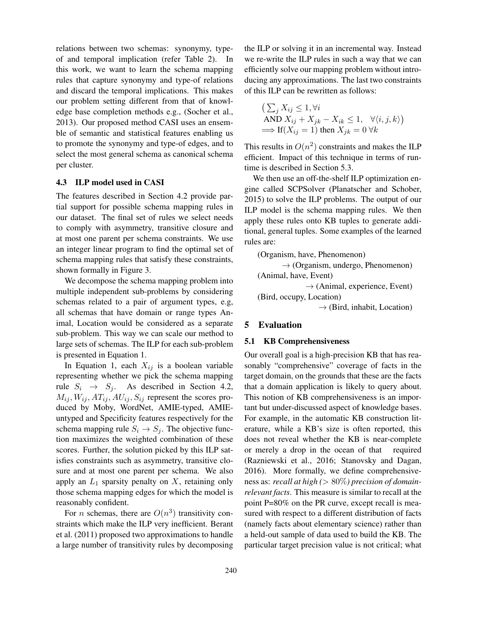relations between two schemas: synonymy, typeof and temporal implication (refer Table 2). In this work, we want to learn the schema mapping rules that capture synonymy and type-of relations and discard the temporal implications. This makes our problem setting different from that of knowledge base completion methods e.g., (Socher et al., 2013). Our proposed method CASI uses an ensemble of semantic and statistical features enabling us to promote the synonymy and type-of edges, and to select the most general schema as canonical schema per cluster.

### 4.3 ILP model used in CASI

The features described in Section 4.2 provide partial support for possible schema mapping rules in our dataset. The final set of rules we select needs to comply with asymmetry, transitive closure and at most one parent per schema constraints. We use an integer linear program to find the optimal set of schema mapping rules that satisfy these constraints, shown formally in Figure 3.

We decompose the schema mapping problem into multiple independent sub-problems by considering schemas related to a pair of argument types, e.g, all schemas that have domain or range types Animal, Location would be considered as a separate sub-problem. This way we can scale our method to large sets of schemas. The ILP for each sub-problem is presented in Equation 1.

In Equation 1, each  $X_{ij}$  is a boolean variable representing whether we pick the schema mapping rule  $S_i \rightarrow S_j$ . As described in Section 4.2,  $M_{ij}, W_{ij}, AT_{ij}, AU_{ij}, S_{ij}$  represent the scores produced by Moby, WordNet, AMIE-typed, AMIEuntyped and Specificity features respectively for the schema mapping rule  $S_i \rightarrow S_j$ . The objective function maximizes the weighted combination of these scores. Further, the solution picked by this ILP satisfies constraints such as asymmetry, transitive closure and at most one parent per schema. We also apply an  $L_1$  sparsity penalty on X, retaining only those schema mapping edges for which the model is reasonably confident.

For *n* schemas, there are  $O(n^3)$  transitivity constraints which make the ILP very inefficient. Berant et al. (2011) proposed two approximations to handle a large number of transitivity rules by decomposing the ILP or solving it in an incremental way. Instead we re-write the ILP rules in such a way that we can efficiently solve our mapping problem without introducing any approximations. The last two constraints of this ILP can be rewritten as follows:

$$
\begin{aligned} &\left(\sum_{j} X_{ij} \le 1, \forall i\right.\\ &\text{AND } X_{ij} + X_{jk} - X_{ik} \le 1, \quad \forall \langle i, j, k \rangle\right) \\ &\implies \text{If}(X_{ij} = 1) \text{ then } X_{jk} = 0 \,\forall k \end{aligned}
$$

This results in  $O(n^2)$  constraints and makes the ILP efficient. Impact of this technique in terms of runtime is described in Section 5.3.

We then use an off-the-shelf ILP optimization engine called SCPSolver (Planatscher and Schober, 2015) to solve the ILP problems. The output of our ILP model is the schema mapping rules. We then apply these rules onto KB tuples to generate additional, general tuples. Some examples of the learned rules are:

(Organism, have, Phenomenon)

 $\rightarrow$  (Organism, undergo, Phenomenon) (Animal, have, Event)  $\rightarrow$  (Animal, experience, Event) (Bird, occupy, Location)

 $\rightarrow$  (Bird, inhabit, Location)

## 5 Evaluation

#### 5.1 KB Comprehensiveness

Our overall goal is a high-precision KB that has reasonably "comprehensive" coverage of facts in the target domain, on the grounds that these are the facts that a domain application is likely to query about. This notion of KB comprehensiveness is an important but under-discussed aspect of knowledge bases. For example, in the automatic KB construction literature, while a KB's size is often reported, this does not reveal whether the KB is near-complete or merely a drop in the ocean of that required (Razniewski et al., 2016; Stanovsky and Dagan, 2016). More formally, we define comprehensiveness as: *recall at high (*> 80%*) precision of domainrelevant facts*. This measure is similar to recall at the point P=80% on the PR curve, except recall is measured with respect to a different distribution of facts (namely facts about elementary science) rather than a held-out sample of data used to build the KB. The particular target precision value is not critical; what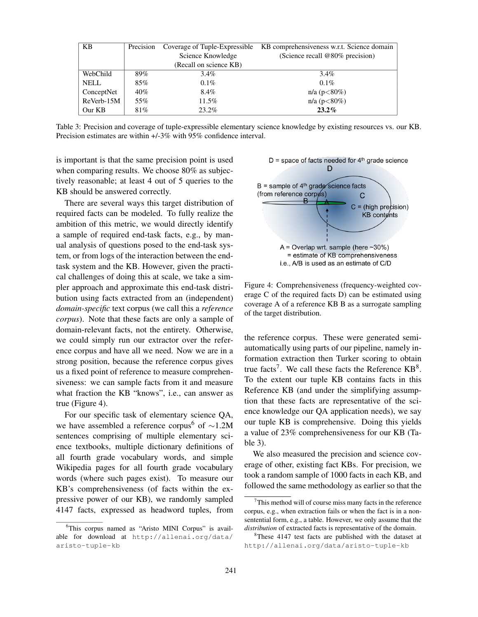| <b>KB</b>   | Precision | Coverage of Tuple-Expressible | KB comprehensiveness w.r.t. Science domain |  |  |
|-------------|-----------|-------------------------------|--------------------------------------------|--|--|
|             |           | Science Knowledge             | (Science recall $@80\%$ precision)         |  |  |
|             |           | (Recall on science KB)        |                                            |  |  |
| WebChild    | 89%       | $3.4\%$                       | $3.4\%$                                    |  |  |
| <b>NELL</b> | 85%       | $0.1\%$                       | $0.1\%$                                    |  |  |
| ConceptNet  | 40%       | 8.4%                          | $n/a (p<80\%)$                             |  |  |
| ReVerb-15M  | 55%       | 11.5%                         | $n/a (p<80\%)$                             |  |  |
| Our KB      | 81%       | 23.2%                         | $23.2\%$                                   |  |  |

Table 3: Precision and coverage of tuple-expressible elementary science knowledge by existing resources vs. our KB. Precision estimates are within +/-3% with 95% confidence interval.

is important is that the same precision point is used when comparing results. We choose 80% as subjectively reasonable; at least 4 out of 5 queries to the KB should be answered correctly.

There are several ways this target distribution of required facts can be modeled. To fully realize the ambition of this metric, we would directly identify a sample of required end-task facts, e.g., by manual analysis of questions posed to the end-task system, or from logs of the interaction between the endtask system and the KB. However, given the practical challenges of doing this at scale, we take a simpler approach and approximate this end-task distribution using facts extracted from an (independent) *domain-specific* text corpus (we call this a *reference corpus*). Note that these facts are only a sample of domain-relevant facts, not the entirety. Otherwise, we could simply run our extractor over the reference corpus and have all we need. Now we are in a strong position, because the reference corpus gives us a fixed point of reference to measure comprehensiveness: we can sample facts from it and measure what fraction the KB "knows", i.e., can answer as true (Figure 4).

For our specific task of elementary science QA, we have assembled a reference corpus<sup>6</sup> of ∼1.2M sentences comprising of multiple elementary science textbooks, multiple dictionary definitions of all fourth grade vocabulary words, and simple Wikipedia pages for all fourth grade vocabulary words (where such pages exist). To measure our KB's comprehensiveness (of facts within the expressive power of our KB), we randomly sampled 4147 facts, expressed as headword tuples, from



Figure 4: Comprehensiveness (frequency-weighted coverage C of the required facts D) can be estimated using coverage A of a reference KB B as a surrogate sampling of the target distribution.

the reference corpus. These were generated semiautomatically using parts of our pipeline, namely information extraction then Turker scoring to obtain true facts<sup>7</sup>. We call these facts the Reference  $KB^8$ . To the extent our tuple KB contains facts in this Reference KB (and under the simplifying assumption that these facts are representative of the science knowledge our QA application needs), we say our tuple KB is comprehensive. Doing this yields a value of 23% comprehensiveness for our KB (Table 3).

We also measured the precision and science coverage of other, existing fact KBs. For precision, we took a random sample of 1000 facts in each KB, and followed the same methodology as earlier so that the

<sup>&</sup>lt;sup>6</sup>This corpus named as "Aristo MINI Corpus" is available for download at http://allenai.org/data/ aristo-tuple-kb

 $7$ This method will of course miss many facts in the reference corpus, e.g., when extraction fails or when the fact is in a nonsentential form, e.g., a table. However, we only assume that the *distribution* of extracted facts is representative of the domain.

<sup>&</sup>lt;sup>8</sup>These 4147 test facts are published with the dataset at http://allenai.org/data/aristo-tuple-kb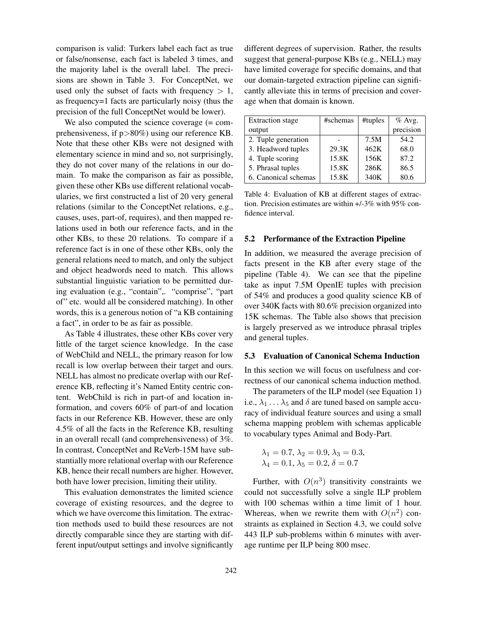comparison is valid: Turkers label each fact as true or false/nonsense, each fact is labeled 3 times, and the majority label is the overall label. The precisions are shown in Table 3. For ConceptNet, we used only the subset of facts with frequency  $> 1$ , as frequency=1 facts are particularly noisy (thus the precision of the full ConceptNet would be lower).

We also computed the science coverage (= comprehensiveness, if p>80%) using our reference KB. Note that these other KBs were not designed with elementary science in mind and so, not surprisingly, they do not cover many of the relations in our domain. To make the comparison as fair as possible, given these other KBs use different relational vocabularies, we first constructed a list of 20 very general relations (similar to the ConceptNet relations, e.g., causes, uses, part-of, requires), and then mapped relations used in both our reference facts, and in the other KBs, to these 20 relations. To compare if a reference fact is in one of these other KBs, only the general relations need to match, and only the subject and object headwords need to match. This allows substantial linguistic variation to be permitted during evaluation (e.g., "contain",. "comprise", "part of" etc. would all be considered matching). In other words, this is a generous notion of "a KB containing a fact", in order to be as fair as possible.

As Table 4 illustrates, these other KBs cover very little of the target science knowledge. In the case of WebChild and NELL, the primary reason for low recall is low overlap between their target and ours. NELL has almost no predicate overlap with our Reference KB, reflecting it's Named Entity centric content. WebChild is rich in part-of and location information, and covers 60% of part-of and location facts in our Reference KB. However, these are only 4.5% of all the facts in the Reference KB, resulting in an overall recall (and comprehensiveness) of 3%. In contrast, ConceptNet and ReVerb-15M have substantially more relational overlap with our Reference KB, hence their recall numbers are higher. However, both have lower precision, limiting their utility.

This evaluation demonstrates the limited science coverage of existing resources, and the degree to which we have overcome this limitation. The extraction methods used to build these resources are not directly comparable since they are starting with different input/output settings and involve significantly

different degrees of supervision. Rather, the results suggest that general-purpose KBs (e.g., NELL) may have limited coverage for specific domains, and that our domain-targeted extraction pipeline can significantly alleviate this in terms of precision and coverage when that domain is known.

| <b>Extraction</b> stage | #schemas | #tuples | $%$ Avg.  |
|-------------------------|----------|---------|-----------|
| output                  |          |         | precision |
| 2. Tuple generation     |          | 7.5M    | 54.2      |
| 3. Headword tuples      | 29.3K    | 462K    | 68.0      |
| 4. Tuple scoring        | 15.8K    | 156K    | 87.2      |
| 5. Phrasal tuples       | 15.8K    | 286K    | 86.5      |
| 6. Canonical schemas    | 15.8K    | 340K    | 80.6      |

Table 4: Evaluation of KB at different stages of extraction. Precision estimates are within +/-3% with 95% confidence interval.

#### 5.2 Performance of the Extraction Pipeline

In addition, we measured the average precision of facts present in the KB after every stage of the pipeline (Table 4). We can see that the pipeline take as input 7.5M OpenIE tuples with precision of 54% and produces a good quality science KB of over 340K facts with 80.6% precision organized into 15K schemas. The Table also shows that precision is largely preserved as we introduce phrasal triples and general tuples.

### 5.3 Evaluation of Canonical Schema Induction

In this section we will focus on usefulness and correctness of our canonical schema induction method.

The parameters of the ILP model (see Equation 1) i.e.,  $\lambda_1 \ldots \lambda_5$  and  $\delta$  are tuned based on sample accuracy of individual feature sources and using a small schema mapping problem with schemas applicable to vocabulary types Animal and Body-Part.

$$
\lambda_1 = 0.7, \lambda_2 = 0.9, \lambda_3 = 0.3,
$$
  
\n $\lambda_4 = 0.1, \lambda_5 = 0.2, \delta = 0.7$ 

Further, with  $O(n^3)$  transitivity constraints we could not successfully solve a single ILP problem with 100 schemas within a time limit of 1 hour. Whereas, when we rewrite them with  $O(n^2)$  constraints as explained in Section 4.3, we could solve 443 ILP sub-problems within 6 minutes with average runtime per ILP being 800 msec.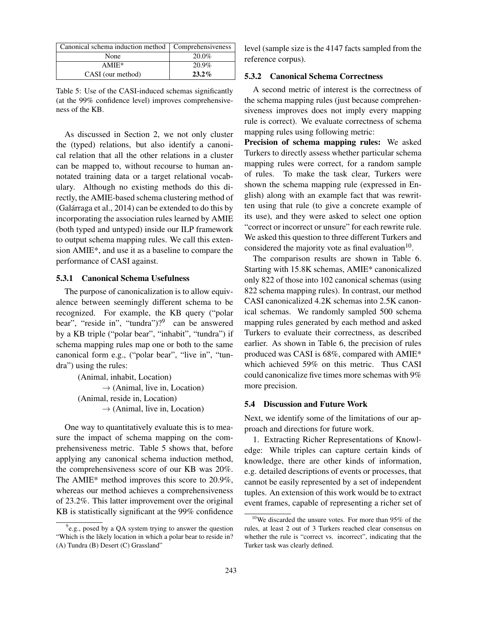| Canonical schema induction method   Comprehensiveness |          |  |  |
|-------------------------------------------------------|----------|--|--|
| None                                                  | $20.0\%$ |  |  |
| $AMIE*$                                               | 20.9%    |  |  |
| CASI (our method)                                     | $23.2\%$ |  |  |

Table 5: Use of the CASI-induced schemas significantly (at the 99% confidence level) improves comprehensiveness of the KB.

As discussed in Section 2, we not only cluster the (typed) relations, but also identify a canonical relation that all the other relations in a cluster can be mapped to, without recourse to human annotated training data or a target relational vocabulary. Although no existing methods do this directly, the AMIE-based schema clustering method of  $(Galárraga et al., 2014)$  can be extended to do this by incorporating the association rules learned by AMIE (both typed and untyped) inside our ILP framework to output schema mapping rules. We call this extension AMIE\*, and use it as a baseline to compare the performance of CASI against.

## 5.3.1 Canonical Schema Usefulness

The purpose of canonicalization is to allow equivalence between seemingly different schema to be recognized. For example, the KB query ("polar bear", "reside in", "tundra")?<sup>9</sup> can be answered by a KB triple ("polar bear", "inhabit", "tundra") if schema mapping rules map one or both to the same canonical form e.g., ("polar bear", "live in", "tundra") using the rules:

> (Animal, inhabit, Location)  $\rightarrow$  (Animal, live in, Location) (Animal, reside in, Location)  $\rightarrow$  (Animal, live in, Location)

One way to quantitatively evaluate this is to measure the impact of schema mapping on the comprehensiveness metric. Table 5 shows that, before applying any canonical schema induction method, the comprehensiveness score of our KB was 20%. The AMIE\* method improves this score to 20.9%, whereas our method achieves a comprehensiveness of 23.2%. This latter improvement over the original KB is statistically significant at the 99% confidence level (sample size is the 4147 facts sampled from the reference corpus).

## 5.3.2 Canonical Schema Correctness

A second metric of interest is the correctness of the schema mapping rules (just because comprehensiveness improves does not imply every mapping rule is correct). We evaluate correctness of schema mapping rules using following metric:

Precision of schema mapping rules: We asked Turkers to directly assess whether particular schema mapping rules were correct, for a random sample of rules. To make the task clear, Turkers were shown the schema mapping rule (expressed in English) along with an example fact that was rewritten using that rule (to give a concrete example of its use), and they were asked to select one option "correct or incorrect or unsure" for each rewrite rule. We asked this question to three different Turkers and considered the majority vote as final evaluation $10$ .

The comparison results are shown in Table 6. Starting with 15.8K schemas, AMIE\* canonicalized only 822 of those into 102 canonical schemas (using 822 schema mapping rules). In contrast, our method CASI canonicalized 4.2K schemas into 2.5K canonical schemas. We randomly sampled 500 schema mapping rules generated by each method and asked Turkers to evaluate their correctness, as described earlier. As shown in Table 6, the precision of rules produced was CASI is 68%, compared with AMIE\* which achieved 59% on this metric. Thus CASI could canonicalize five times more schemas with 9% more precision.

### 5.4 Discussion and Future Work

Next, we identify some of the limitations of our approach and directions for future work.

1. Extracting Richer Representations of Knowledge: While triples can capture certain kinds of knowledge, there are other kinds of information, e.g. detailed descriptions of events or processes, that cannot be easily represented by a set of independent tuples. An extension of this work would be to extract event frames, capable of representing a richer set of

<sup>&</sup>lt;sup>9</sup>e.g., posed by a QA system trying to answer the question "Which is the likely location in which a polar bear to reside in? (A) Tundra (B) Desert (C) Grassland"

<sup>10</sup>We discarded the unsure votes. For more than 95% of the rules, at least 2 out of 3 Turkers reached clear consensus on whether the rule is "correct vs. incorrect", indicating that the Turker task was clearly defined.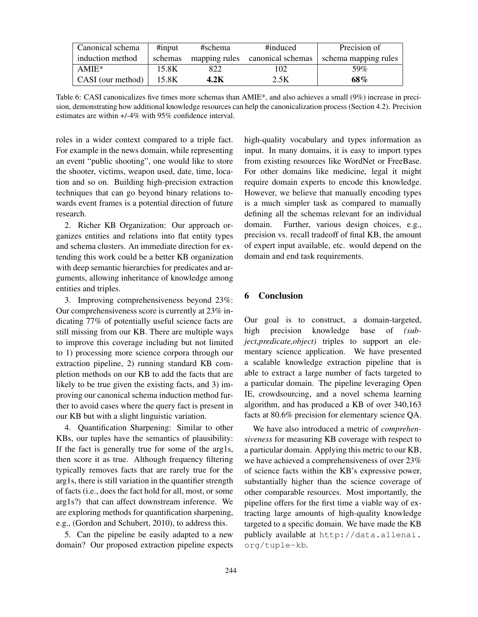| Canonical schema  | $\#$ input | #schema | #induced                        | Precision of         |
|-------------------|------------|---------|---------------------------------|----------------------|
| induction method  | schemas    |         | mapping rules canonical schemas | schema mapping rules |
| $AMIE*$           | 15.8K      | 822     | 102                             | 59%                  |
| CASI (our method) | 15.8K      | 4.2K    | 2.5K                            | 68%                  |

Table 6: CASI canonicalizes five times more schemas than AMIE\*, and also achieves a small (9%) increase in precision, demonstrating how additional knowledge resources can help the canonicalization process (Section 4.2). Precision estimates are within +/-4% with 95% confidence interval.

roles in a wider context compared to a triple fact. For example in the news domain, while representing an event "public shooting", one would like to store the shooter, victims, weapon used, date, time, location and so on. Building high-precision extraction techniques that can go beyond binary relations towards event frames is a potential direction of future research.

2. Richer KB Organization: Our approach organizes entities and relations into flat entity types and schema clusters. An immediate direction for extending this work could be a better KB organization with deep semantic hierarchies for predicates and arguments, allowing inheritance of knowledge among entities and triples.

3. Improving comprehensiveness beyond 23%: Our comprehensiveness score is currently at 23% indicating 77% of potentially useful science facts are still missing from our KB. There are multiple ways to improve this coverage including but not limited to 1) processing more science corpora through our extraction pipeline, 2) running standard KB completion methods on our KB to add the facts that are likely to be true given the existing facts, and 3) improving our canonical schema induction method further to avoid cases where the query fact is present in our KB but with a slight linguistic variation.

4. Quantification Sharpening: Similar to other KBs, our tuples have the semantics of plausibility: If the fact is generally true for some of the arg1s, then score it as true. Although frequency filtering typically removes facts that are rarely true for the arg1s, there is still variation in the quantifier strength of facts (i.e., does the fact hold for all, most, or some arg1s?) that can affect downstream inference. We are exploring methods for quantification sharpening, e.g., (Gordon and Schubert, 2010), to address this.

5. Can the pipeline be easily adapted to a new domain? Our proposed extraction pipeline expects high-quality vocabulary and types information as input. In many domains, it is easy to import types from existing resources like WordNet or FreeBase. For other domains like medicine, legal it might require domain experts to encode this knowledge. However, we believe that manually encoding types is a much simpler task as compared to manually defining all the schemas relevant for an individual domain. Further, various design choices, e.g., precision vs. recall tradeoff of final KB, the amount of expert input available, etc. would depend on the domain and end task requirements.

## 6 Conclusion

Our goal is to construct, a domain-targeted, high precision knowledge base of *(subject,predicate,object)* triples to support an elementary science application. We have presented a scalable knowledge extraction pipeline that is able to extract a large number of facts targeted to a particular domain. The pipeline leveraging Open IE, crowdsourcing, and a novel schema learning algorithm, and has produced a KB of over 340,163 facts at 80.6% precision for elementary science QA.

We have also introduced a metric of *comprehensiveness* for measuring KB coverage with respect to a particular domain. Applying this metric to our KB, we have achieved a comprehensiveness of over 23% of science facts within the KB's expressive power, substantially higher than the science coverage of other comparable resources. Most importantly, the pipeline offers for the first time a viable way of extracting large amounts of high-quality knowledge targeted to a specific domain. We have made the KB publicly available at http://data.allenai. org/tuple-kb.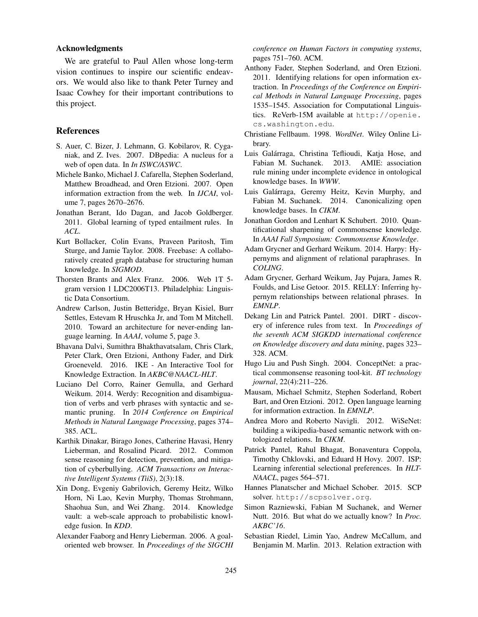#### Acknowledgments

We are grateful to Paul Allen whose long-term vision continues to inspire our scientific endeavors. We would also like to thank Peter Turney and Isaac Cowhey for their important contributions to this project.

### References

- S. Auer, C. Bizer, J. Lehmann, G. Kobilarov, R. Cyganiak, and Z. Ives. 2007. DBpedia: A nucleus for a web of open data. In *In ISWC/ASWC*.
- Michele Banko, Michael J. Cafarella, Stephen Soderland, Matthew Broadhead, and Oren Etzioni. 2007. Open information extraction from the web. In *IJCAI*, volume 7, pages 2670–2676.
- Jonathan Berant, Ido Dagan, and Jacob Goldberger. 2011. Global learning of typed entailment rules. In *ACL*.
- Kurt Bollacker, Colin Evans, Praveen Paritosh, Tim Sturge, and Jamie Taylor. 2008. Freebase: A collaboratively created graph database for structuring human knowledge. In *SIGMOD*.
- Thorsten Brants and Alex Franz. 2006. Web 1T 5 gram version 1 LDC2006T13. Philadelphia: Linguistic Data Consortium.
- Andrew Carlson, Justin Betteridge, Bryan Kisiel, Burr Settles, Estevam R Hruschka Jr, and Tom M Mitchell. 2010. Toward an architecture for never-ending language learning. In *AAAI*, volume 5, page 3.
- Bhavana Dalvi, Sumithra Bhakthavatsalam, Chris Clark, Peter Clark, Oren Etzioni, Anthony Fader, and Dirk Groeneveld. 2016. IKE - An Interactive Tool for Knowledge Extraction. In *AKBC@NAACL-HLT*.
- Luciano Del Corro, Rainer Gemulla, and Gerhard Weikum. 2014. Werdy: Recognition and disambiguation of verbs and verb phrases with syntactic and semantic pruning. In *2014 Conference on Empirical Methods in Natural Language Processing*, pages 374– 385. ACL.
- Karthik Dinakar, Birago Jones, Catherine Havasi, Henry Lieberman, and Rosalind Picard. 2012. Common sense reasoning for detection, prevention, and mitigation of cyberbullying. *ACM Transactions on Interactive Intelligent Systems (TiiS)*, 2(3):18.
- Xin Dong, Evgeniy Gabrilovich, Geremy Heitz, Wilko Horn, Ni Lao, Kevin Murphy, Thomas Strohmann, Shaohua Sun, and Wei Zhang. 2014. Knowledge vault: a web-scale approach to probabilistic knowledge fusion. In *KDD*.
- Alexander Faaborg and Henry Lieberman. 2006. A goaloriented web browser. In *Proceedings of the SIGCHI*

*conference on Human Factors in computing systems*, pages 751–760. ACM.

- Anthony Fader, Stephen Soderland, and Oren Etzioni. 2011. Identifying relations for open information extraction. In *Proceedings of the Conference on Empirical Methods in Natural Language Processing*, pages 1535–1545. Association for Computational Linguistics. ReVerb-15M available at http://openie. cs.washington.edu.
- Christiane Fellbaum. 1998. *WordNet*. Wiley Online Library.
- Luis Galarraga, Christina Teflioudi, Katja Hose, and ´ Fabian M. Suchanek. 2013. AMIE: association rule mining under incomplete evidence in ontological knowledge bases. In *WWW*.
- Luis Galarraga, Geremy Heitz, Kevin Murphy, and ´ Fabian M. Suchanek. 2014. Canonicalizing open knowledge bases. In *CIKM*.
- Jonathan Gordon and Lenhart K Schubert. 2010. Quantificational sharpening of commonsense knowledge. In *AAAI Fall Symposium: Commonsense Knowledge*.
- Adam Grycner and Gerhard Weikum. 2014. Harpy: Hypernyms and alignment of relational paraphrases. In *COLING*.
- Adam Grycner, Gerhard Weikum, Jay Pujara, James R. Foulds, and Lise Getoor. 2015. RELLY: Inferring hypernym relationships between relational phrases. In *EMNLP*.
- Dekang Lin and Patrick Pantel. 2001. DIRT discovery of inference rules from text. In *Proceedings of the seventh ACM SIGKDD international conference on Knowledge discovery and data mining*, pages 323– 328. ACM.
- Hugo Liu and Push Singh. 2004. ConceptNet: a practical commonsense reasoning tool-kit. *BT technology journal*, 22(4):211–226.
- Mausam, Michael Schmitz, Stephen Soderland, Robert Bart, and Oren Etzioni. 2012. Open language learning for information extraction. In *EMNLP*.
- Andrea Moro and Roberto Navigli. 2012. WiSeNet: building a wikipedia-based semantic network with ontologized relations. In *CIKM*.
- Patrick Pantel, Rahul Bhagat, Bonaventura Coppola, Timothy Chklovski, and Eduard H Hovy. 2007. ISP: Learning inferential selectional preferences. In *HLT-NAACL*, pages 564–571.
- Hannes Planatscher and Michael Schober. 2015. SCP solver. http://scpsolver.org.
- Simon Razniewski, Fabian M Suchanek, and Werner Nutt. 2016. But what do we actually know? In *Proc. AKBC'16*.
- Sebastian Riedel, Limin Yao, Andrew McCallum, and Benjamin M. Marlin. 2013. Relation extraction with